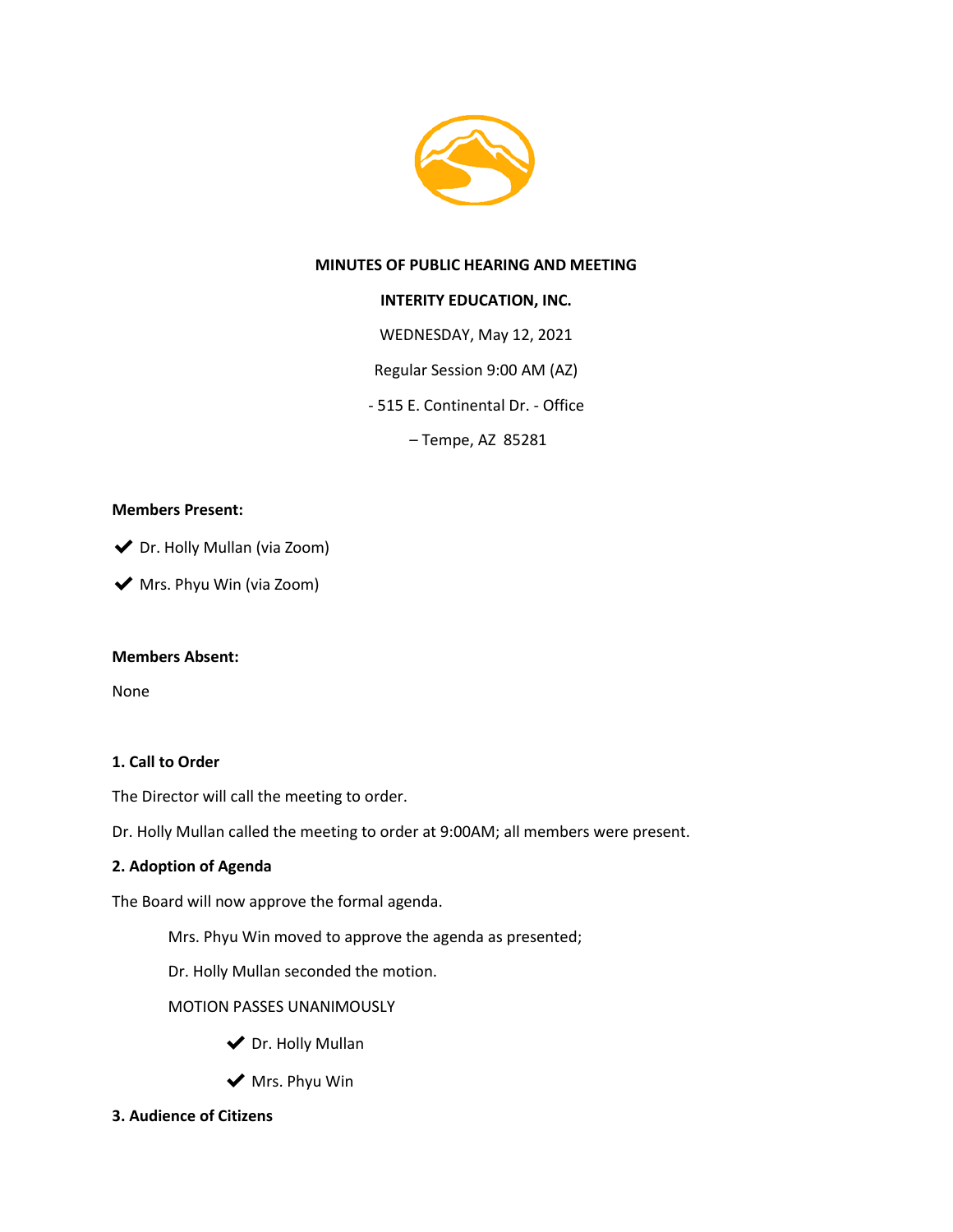

## **MINUTES OF PUBLIC HEARING AND MEETING**

## **INTERITY EDUCATION, INC.**

WEDNESDAY, May 12, 2021

Regular Session 9:00 AM (AZ)

- 515 E. Continental Dr. - Office

– Tempe, AZ 85281

#### **Members Present:**

◆ Dr. Holly Mullan (via Zoom)

◆ Mrs. Phyu Win (via Zoom)

## **Members Absent:**

None

## **1. Call to Order**

The Director will call the meeting to order.

Dr. Holly Mullan called the meeting to order at 9:00AM; all members were present.

## **2. Adoption of Agenda**

The Board will now approve the formal agenda.

Mrs. Phyu Win moved to approve the agenda as presented;

Dr. Holly Mullan seconded the motion.

MOTION PASSES UNANIMOUSLY

- ◆ Dr. Holly Mullan
- ◆ Mrs. Phyu Win
- **3. Audience of Citizens**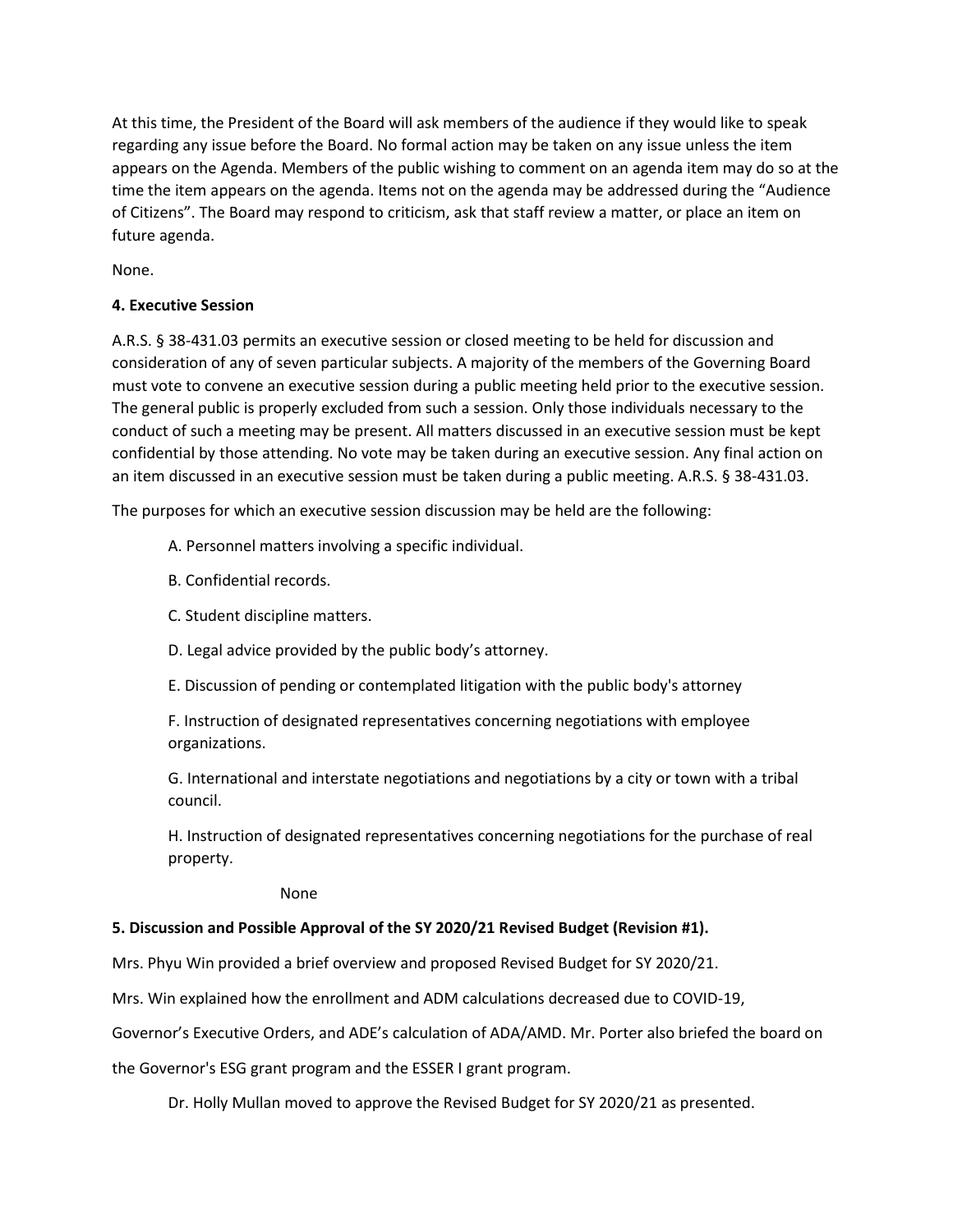At this time, the President of the Board will ask members of the audience if they would like to speak regarding any issue before the Board. No formal action may be taken on any issue unless the item appears on the Agenda. Members of the public wishing to comment on an agenda item may do so at the time the item appears on the agenda. Items not on the agenda may be addressed during the "Audience of Citizens". The Board may respond to criticism, ask that staff review a matter, or place an item on future agenda.

None.

## **4. Executive Session**

A.R.S. § 38-431.03 permits an executive session or closed meeting to be held for discussion and consideration of any of seven particular subjects. A majority of the members of the Governing Board must vote to convene an executive session during a public meeting held prior to the executive session. The general public is properly excluded from such a session. Only those individuals necessary to the conduct of such a meeting may be present. All matters discussed in an executive session must be kept confidential by those attending. No vote may be taken during an executive session. Any final action on an item discussed in an executive session must be taken during a public meeting. A.R.S. § 38-431.03.

The purposes for which an executive session discussion may be held are the following:

A. Personnel matters involving a specific individual.

- B. Confidential records.
- C. Student discipline matters.
- D. Legal advice provided by the public body's attorney.
- E. Discussion of pending or contemplated litigation with the public body's attorney

F. Instruction of designated representatives concerning negotiations with employee organizations.

G. International and interstate negotiations and negotiations by a city or town with a tribal council.

H. Instruction of designated representatives concerning negotiations for the purchase of real property.

None

## **5. Discussion and Possible Approval of the SY 2020/21 Revised Budget (Revision #1).**

Mrs. Phyu Win provided a brief overview and proposed Revised Budget for SY 2020/21.

Mrs. Win explained how the enrollment and ADM calculations decreased due to COVID-19,

Governor's Executive Orders, and ADE's calculation of ADA/AMD. Mr. Porter also briefed the board on

the Governor's ESG grant program and the ESSER I grant program.

Dr. Holly Mullan moved to approve the Revised Budget for SY 2020/21 as presented.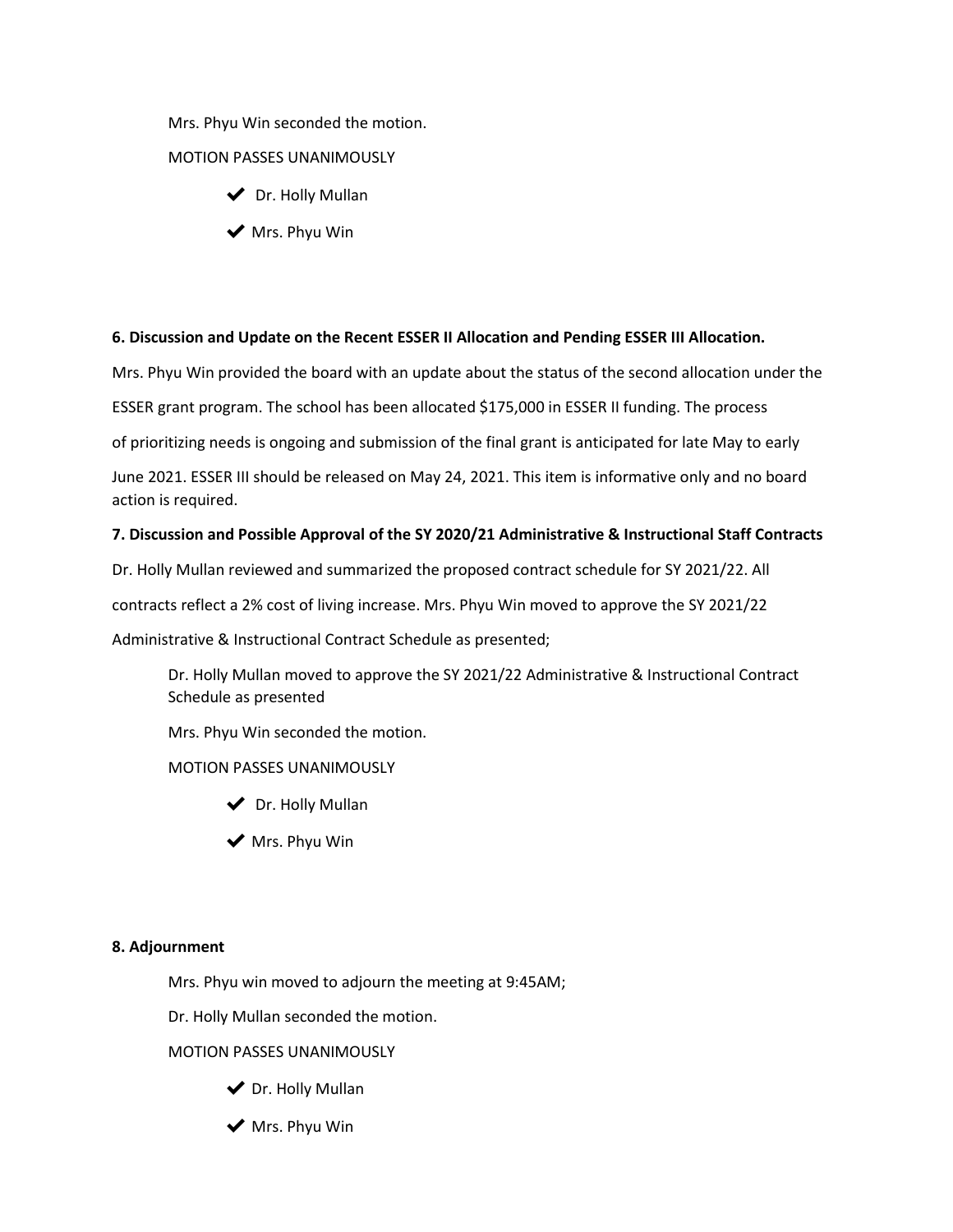Mrs. Phyu Win seconded the motion.

## MOTION PASSES UNANIMOUSLY

- ◆ Dr. Holly Mullan
- ◆ Mrs. Phyu Win

#### **6. Discussion and Update on the Recent ESSER II Allocation and Pending ESSER III Allocation.**

Mrs. Phyu Win provided the board with an update about the status of the second allocation under the

ESSER grant program. The school has been allocated \$175,000 in ESSER II funding. The process

of prioritizing needs is ongoing and submission of the final grant is anticipated for late May to early

June 2021. ESSER III should be released on May 24, 2021. This item is informative only and no board action is required.

#### **7. Discussion and Possible Approval of the SY 2020/21 Administrative & Instructional Staff Contracts**

Dr. Holly Mullan reviewed and summarized the proposed contract schedule for SY 2021/22. All

contracts reflect a 2% cost of living increase. Mrs. Phyu Win moved to approve the SY 2021/22

Administrative & Instructional Contract Schedule as presented;

Dr. Holly Mullan moved to approve the SY 2021/22 Administrative & Instructional Contract Schedule as presented

Mrs. Phyu Win seconded the motion.

#### MOTION PASSES UNANIMOUSLY

- ◆ Dr. Holly Mullan
- $\blacktriangleright$  Mrs. Phyu Win

#### **8. Adjournment**

Mrs. Phyu win moved to adjourn the meeting at 9:45AM;

Dr. Holly Mullan seconded the motion.

#### MOTION PASSES UNANIMOUSLY

- ◆ Dr. Holly Mullan
- $\blacktriangleright$  Mrs. Phyu Win